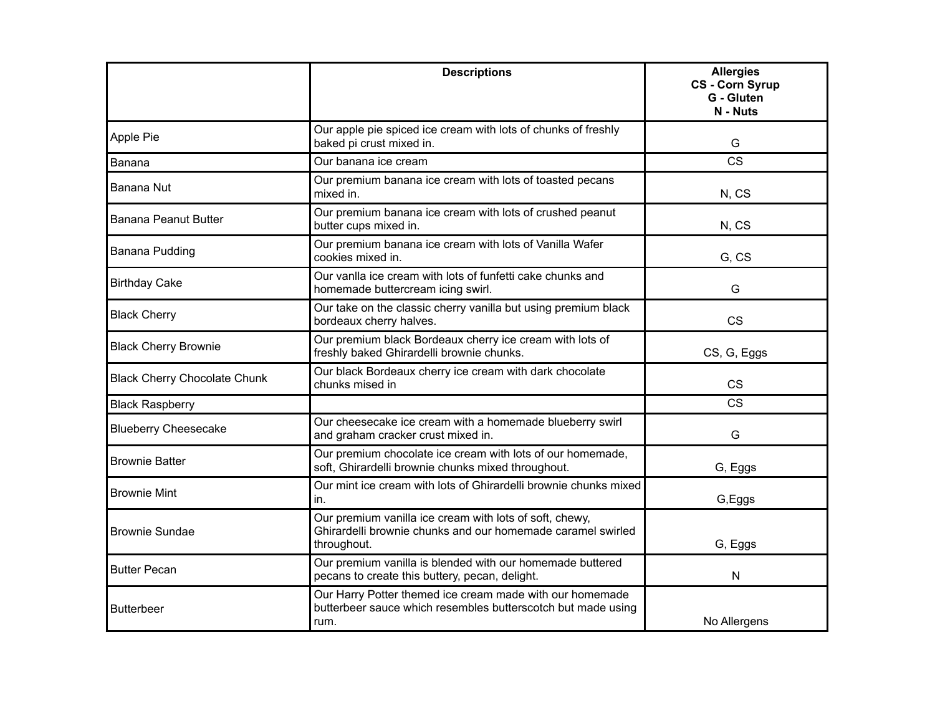|                                     | <b>Descriptions</b>                                                                                                                   | <b>Allergies</b><br><b>CS - Corn Syrup</b><br>G - Gluten<br>N - Nuts |
|-------------------------------------|---------------------------------------------------------------------------------------------------------------------------------------|----------------------------------------------------------------------|
| Apple Pie                           | Our apple pie spiced ice cream with lots of chunks of freshly<br>baked pi crust mixed in.                                             | G                                                                    |
| Banana                              | Our banana ice cream                                                                                                                  | <b>CS</b>                                                            |
| Banana Nut                          | Our premium banana ice cream with lots of toasted pecans<br>mixed in.                                                                 | N, CS                                                                |
| <b>Banana Peanut Butter</b>         | Our premium banana ice cream with lots of crushed peanut<br>butter cups mixed in.                                                     | N, CS                                                                |
| Banana Pudding                      | Our premium banana ice cream with lots of Vanilla Wafer<br>cookies mixed in.                                                          | G, CS                                                                |
| <b>Birthday Cake</b>                | Our vanlla ice cream with lots of funfetti cake chunks and<br>homemade buttercream icing swirl.                                       | G                                                                    |
| <b>Black Cherry</b>                 | Our take on the classic cherry vanilla but using premium black<br>bordeaux cherry halves.                                             | <b>CS</b>                                                            |
| <b>Black Cherry Brownie</b>         | Our premium black Bordeaux cherry ice cream with lots of<br>freshly baked Ghirardelli brownie chunks.                                 | CS, G, Eggs                                                          |
| <b>Black Cherry Chocolate Chunk</b> | Our black Bordeaux cherry ice cream with dark chocolate<br>chunks mised in                                                            | <b>CS</b>                                                            |
| <b>Black Raspberry</b>              |                                                                                                                                       | <b>CS</b>                                                            |
| <b>Blueberry Cheesecake</b>         | Our cheesecake ice cream with a homemade blueberry swirl<br>and graham cracker crust mixed in.                                        | G                                                                    |
| <b>Brownie Batter</b>               | Our premium chocolate ice cream with lots of our homemade,<br>soft, Ghirardelli brownie chunks mixed throughout.                      | G, Eggs                                                              |
| <b>Brownie Mint</b>                 | Our mint ice cream with lots of Ghirardelli brownie chunks mixed<br>in.                                                               | G, Eggs                                                              |
| <b>Brownie Sundae</b>               | Our premium vanilla ice cream with lots of soft, chewy,<br>Ghirardelli brownie chunks and our homemade caramel swirled<br>throughout. | G, Eggs                                                              |
| <b>Butter Pecan</b>                 | Our premium vanilla is blended with our homemade buttered<br>pecans to create this buttery, pecan, delight.                           | N                                                                    |
| <b>Butterbeer</b>                   | Our Harry Potter themed ice cream made with our homemade<br>butterbeer sauce which resembles butterscotch but made using<br>rum.      | No Allergens                                                         |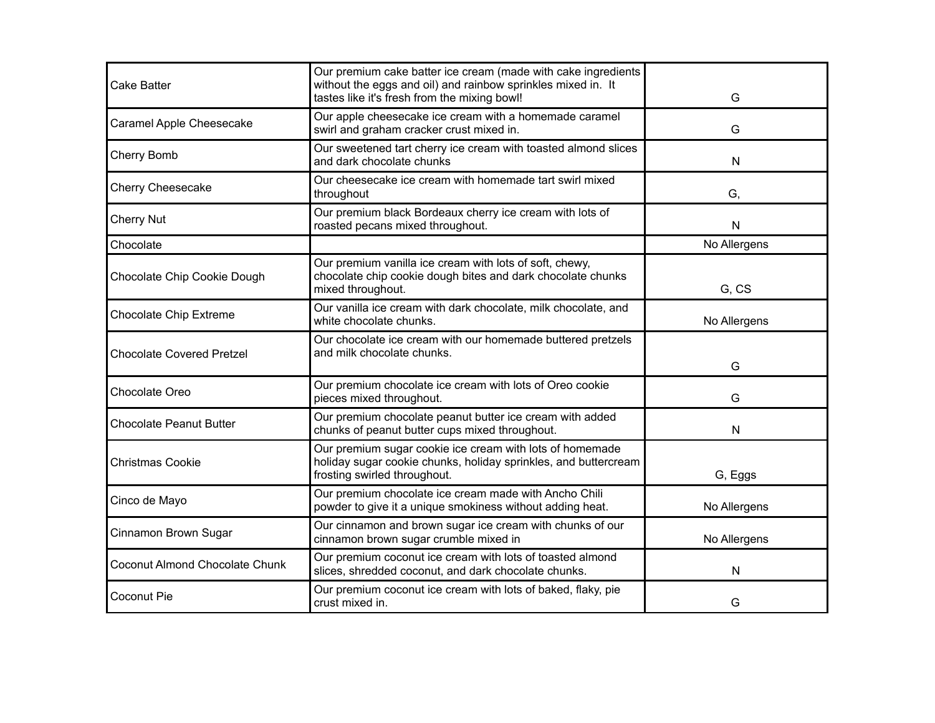| <b>Cake Batter</b>               | Our premium cake batter ice cream (made with cake ingredients<br>without the eggs and oil) and rainbow sprinkles mixed in. It<br>tastes like it's fresh from the mixing bowl! | G            |
|----------------------------------|-------------------------------------------------------------------------------------------------------------------------------------------------------------------------------|--------------|
| Caramel Apple Cheesecake         | Our apple cheesecake ice cream with a homemade caramel<br>swirl and graham cracker crust mixed in.                                                                            | G            |
| Cherry Bomb                      | Our sweetened tart cherry ice cream with toasted almond slices<br>and dark chocolate chunks                                                                                   | N            |
| <b>Cherry Cheesecake</b>         | Our cheesecake ice cream with homemade tart swirl mixed<br>throughout                                                                                                         | G,           |
| <b>Cherry Nut</b>                | Our premium black Bordeaux cherry ice cream with lots of<br>roasted pecans mixed throughout.                                                                                  | N            |
| Chocolate                        |                                                                                                                                                                               | No Allergens |
| Chocolate Chip Cookie Dough      | Our premium vanilla ice cream with lots of soft, chewy,<br>chocolate chip cookie dough bites and dark chocolate chunks<br>mixed throughout.                                   | G, CS        |
| <b>Chocolate Chip Extreme</b>    | Our vanilla ice cream with dark chocolate, milk chocolate, and<br>white chocolate chunks.                                                                                     | No Allergens |
| <b>Chocolate Covered Pretzel</b> | Our chocolate ice cream with our homemade buttered pretzels<br>and milk chocolate chunks.                                                                                     | G            |
| Chocolate Oreo                   | Our premium chocolate ice cream with lots of Oreo cookie<br>pieces mixed throughout.                                                                                          | G            |
| <b>Chocolate Peanut Butter</b>   | Our premium chocolate peanut butter ice cream with added<br>chunks of peanut butter cups mixed throughout.                                                                    | N            |
| <b>Christmas Cookie</b>          | Our premium sugar cookie ice cream with lots of homemade<br>holiday sugar cookie chunks, holiday sprinkles, and buttercream<br>frosting swirled throughout.                   | G, Eggs      |
| Cinco de Mayo                    | Our premium chocolate ice cream made with Ancho Chili<br>powder to give it a unique smokiness without adding heat.                                                            | No Allergens |
| Cinnamon Brown Sugar             | Our cinnamon and brown sugar ice cream with chunks of our<br>cinnamon brown sugar crumble mixed in                                                                            | No Allergens |
| Coconut Almond Chocolate Chunk   | Our premium coconut ice cream with lots of toasted almond<br>slices, shredded coconut, and dark chocolate chunks.                                                             | N            |
| Coconut Pie                      | Our premium coconut ice cream with lots of baked, flaky, pie<br>crust mixed in.                                                                                               | G            |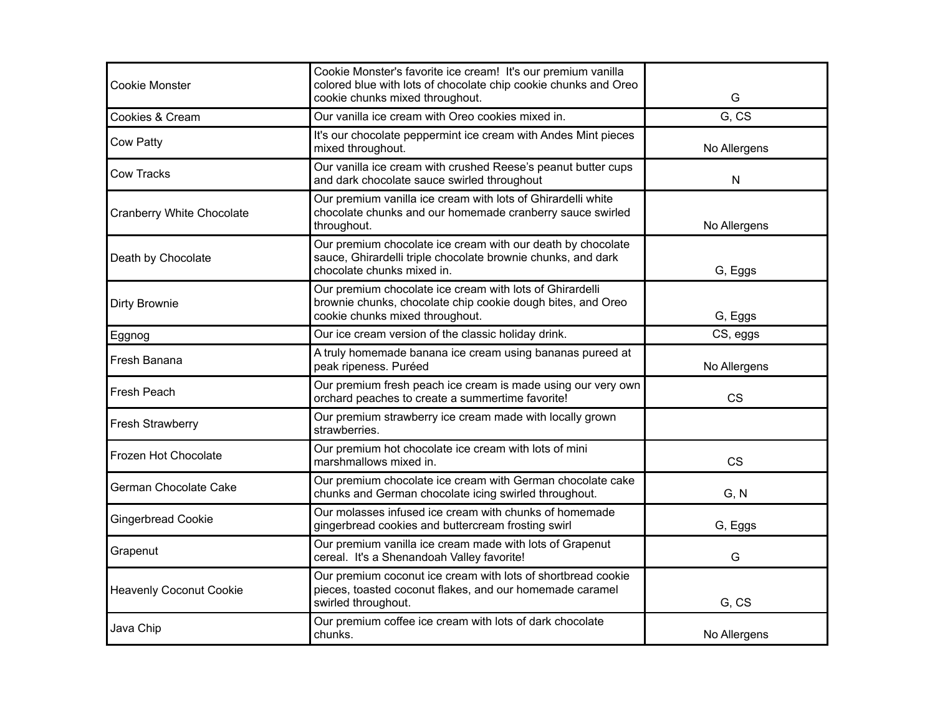| <b>Cookie Monster</b>          | Cookie Monster's favorite ice cream! It's our premium vanilla<br>colored blue with lots of chocolate chip cookie chunks and Oreo<br>cookie chunks mixed throughout. | G            |
|--------------------------------|---------------------------------------------------------------------------------------------------------------------------------------------------------------------|--------------|
| Cookies & Cream                | Our vanilla ice cream with Oreo cookies mixed in.                                                                                                                   | G.CS         |
| Cow Patty                      | It's our chocolate peppermint ice cream with Andes Mint pieces<br>mixed throughout.                                                                                 | No Allergens |
| Cow Tracks                     | Our vanilla ice cream with crushed Reese's peanut butter cups<br>and dark chocolate sauce swirled throughout                                                        | N            |
| Cranberry White Chocolate      | Our premium vanilla ice cream with lots of Ghirardelli white<br>chocolate chunks and our homemade cranberry sauce swirled<br>throughout.                            | No Allergens |
| Death by Chocolate             | Our premium chocolate ice cream with our death by chocolate<br>sauce, Ghirardelli triple chocolate brownie chunks, and dark<br>chocolate chunks mixed in.           | G, Eggs      |
| Dirty Brownie                  | Our premium chocolate ice cream with lots of Ghirardelli<br>brownie chunks, chocolate chip cookie dough bites, and Oreo<br>cookie chunks mixed throughout.          | G, Eggs      |
| Eggnog                         | Our ice cream version of the classic holiday drink.                                                                                                                 | CS, eggs     |
| Fresh Banana                   | A truly homemade banana ice cream using bananas pureed at<br>peak ripeness. Puréed                                                                                  | No Allergens |
| Fresh Peach                    | Our premium fresh peach ice cream is made using our very own<br>orchard peaches to create a summertime favorite!                                                    | <b>CS</b>    |
| Fresh Strawberry               | Our premium strawberry ice cream made with locally grown<br>strawberries.                                                                                           |              |
| Frozen Hot Chocolate           | Our premium hot chocolate ice cream with lots of mini<br>marshmallows mixed in.                                                                                     | <b>CS</b>    |
| German Chocolate Cake          | Our premium chocolate ice cream with German chocolate cake<br>chunks and German chocolate icing swirled throughout.                                                 | G, N         |
| <b>Gingerbread Cookie</b>      | Our molasses infused ice cream with chunks of homemade<br>gingerbread cookies and buttercream frosting swirl                                                        | G, Eggs      |
| Grapenut                       | Our premium vanilla ice cream made with lots of Grapenut<br>cereal. It's a Shenandoah Valley favorite!                                                              | G            |
| <b>Heavenly Coconut Cookie</b> | Our premium coconut ice cream with lots of shortbread cookie<br>pieces, toasted coconut flakes, and our homemade caramel<br>swirled throughout.                     | G, CS        |
| Java Chip                      | Our premium coffee ice cream with lots of dark chocolate<br>chunks.                                                                                                 | No Allergens |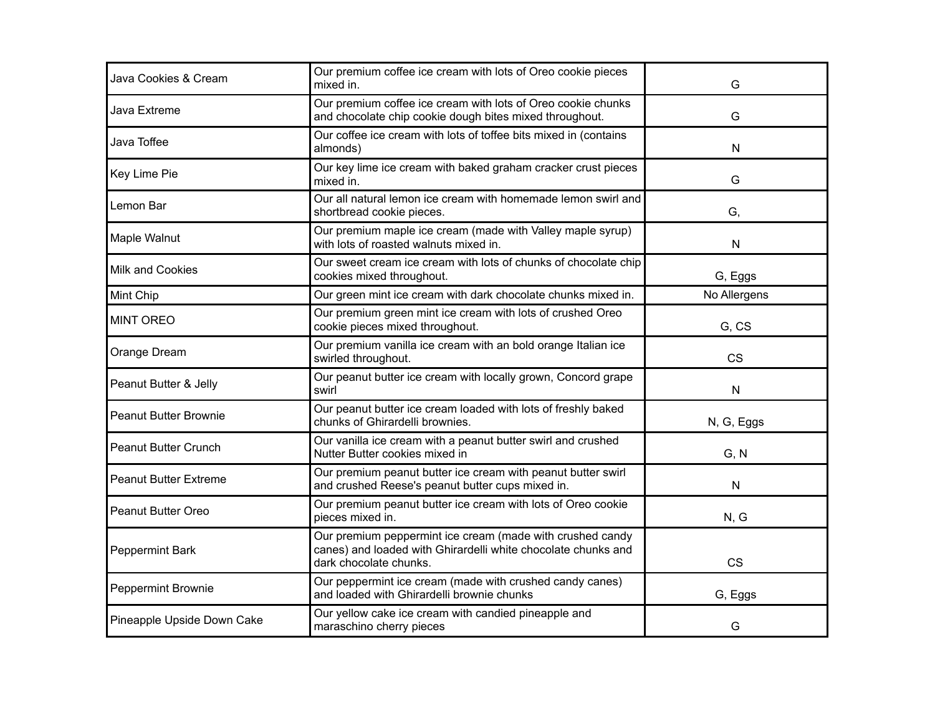| Java Cookies & Cream         | Our premium coffee ice cream with lots of Oreo cookie pieces<br>mixed in.                                                                            | G            |
|------------------------------|------------------------------------------------------------------------------------------------------------------------------------------------------|--------------|
| Java Extreme                 | Our premium coffee ice cream with lots of Oreo cookie chunks<br>and chocolate chip cookie dough bites mixed throughout.                              | G            |
| Java Toffee                  | Our coffee ice cream with lots of toffee bits mixed in (contains<br>almonds)                                                                         | $\mathsf{N}$ |
| Key Lime Pie                 | Our key lime ice cream with baked graham cracker crust pieces<br>mixed in.                                                                           | G            |
| Lemon Bar                    | Our all natural lemon ice cream with homemade lemon swirl and<br>shortbread cookie pieces.                                                           | G,           |
| Maple Walnut                 | Our premium maple ice cream (made with Valley maple syrup)<br>with lots of roasted walnuts mixed in.                                                 | $\mathsf{N}$ |
| <b>Milk and Cookies</b>      | Our sweet cream ice cream with lots of chunks of chocolate chip<br>cookies mixed throughout.                                                         | G, Eggs      |
| Mint Chip                    | Our green mint ice cream with dark chocolate chunks mixed in.                                                                                        | No Allergens |
| <b>MINT OREO</b>             | Our premium green mint ice cream with lots of crushed Oreo<br>cookie pieces mixed throughout.                                                        | G, CS        |
| Orange Dream                 | Our premium vanilla ice cream with an bold orange Italian ice<br>swirled throughout.                                                                 | <b>CS</b>    |
| Peanut Butter & Jelly        | Our peanut butter ice cream with locally grown, Concord grape<br>swirl                                                                               | $\mathsf{N}$ |
| <b>Peanut Butter Brownie</b> | Our peanut butter ice cream loaded with lots of freshly baked<br>chunks of Ghirardelli brownies.                                                     | N, G, Eggs   |
| <b>Peanut Butter Crunch</b>  | Our vanilla ice cream with a peanut butter swirl and crushed<br>Nutter Butter cookies mixed in                                                       | G, N         |
| <b>Peanut Butter Extreme</b> | Our premium peanut butter ice cream with peanut butter swirl<br>and crushed Reese's peanut butter cups mixed in.                                     | $\mathsf{N}$ |
| <b>Peanut Butter Oreo</b>    | Our premium peanut butter ice cream with lots of Oreo cookie<br>pieces mixed in.                                                                     | N, G         |
| Peppermint Bark              | Our premium peppermint ice cream (made with crushed candy<br>canes) and loaded with Ghirardelli white chocolate chunks and<br>dark chocolate chunks. | <b>CS</b>    |
| Peppermint Brownie           | Our peppermint ice cream (made with crushed candy canes)<br>and loaded with Ghirardelli brownie chunks                                               | G, Eggs      |
| Pineapple Upside Down Cake   | Our yellow cake ice cream with candied pineapple and<br>maraschino cherry pieces                                                                     | G            |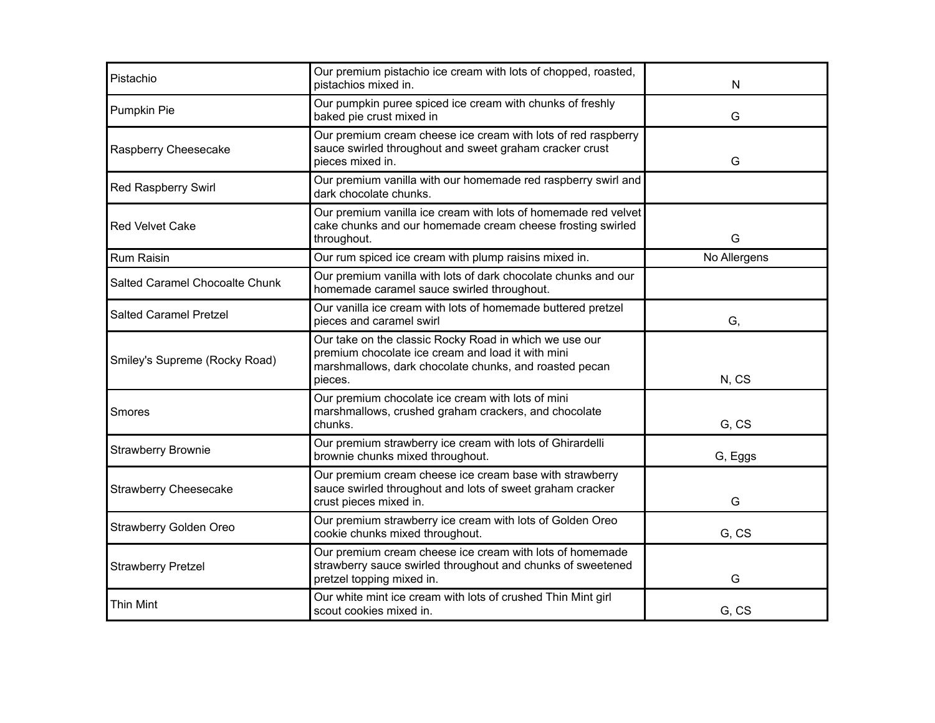| Pistachio                      | Our premium pistachio ice cream with lots of chopped, roasted,<br>pistachios mixed in.                                                                                           | N            |
|--------------------------------|----------------------------------------------------------------------------------------------------------------------------------------------------------------------------------|--------------|
| Pumpkin Pie                    | Our pumpkin puree spiced ice cream with chunks of freshly<br>baked pie crust mixed in                                                                                            | G            |
| Raspberry Cheesecake           | Our premium cream cheese ice cream with lots of red raspberry<br>sauce swirled throughout and sweet graham cracker crust<br>pieces mixed in.                                     | G            |
| Red Raspberry Swirl            | Our premium vanilla with our homemade red raspberry swirl and<br>dark chocolate chunks.                                                                                          |              |
| <b>Red Velvet Cake</b>         | Our premium vanilla ice cream with lots of homemade red velvet<br>cake chunks and our homemade cream cheese frosting swirled<br>throughout.                                      | G            |
| <b>Rum Raisin</b>              | Our rum spiced ice cream with plump raisins mixed in.                                                                                                                            | No Allergens |
| Salted Caramel Chocoalte Chunk | Our premium vanilla with lots of dark chocolate chunks and our<br>homemade caramel sauce swirled throughout.                                                                     |              |
| <b>Salted Caramel Pretzel</b>  | Our vanilla ice cream with lots of homemade buttered pretzel<br>pieces and caramel swirl                                                                                         | G,           |
| Smiley's Supreme (Rocky Road)  | Our take on the classic Rocky Road in which we use our<br>premium chocolate ice cream and load it with mini<br>marshmallows, dark chocolate chunks, and roasted pecan<br>pieces. | N, CS        |
| Smores                         | Our premium chocolate ice cream with lots of mini<br>marshmallows, crushed graham crackers, and chocolate<br>chunks.                                                             | G, CS        |
| <b>Strawberry Brownie</b>      | Our premium strawberry ice cream with lots of Ghirardelli<br>brownie chunks mixed throughout.                                                                                    | G, Eggs      |
| <b>Strawberry Cheesecake</b>   | Our premium cream cheese ice cream base with strawberry<br>sauce swirled throughout and lots of sweet graham cracker<br>crust pieces mixed in.                                   | G            |
| Strawberry Golden Oreo         | Our premium strawberry ice cream with lots of Golden Oreo<br>cookie chunks mixed throughout.                                                                                     | G, CS        |
| <b>Strawberry Pretzel</b>      | Our premium cream cheese ice cream with lots of homemade<br>strawberry sauce swirled throughout and chunks of sweetened<br>pretzel topping mixed in.                             | G            |
| <b>Thin Mint</b>               | Our white mint ice cream with lots of crushed Thin Mint girl<br>scout cookies mixed in.                                                                                          | G, CS        |